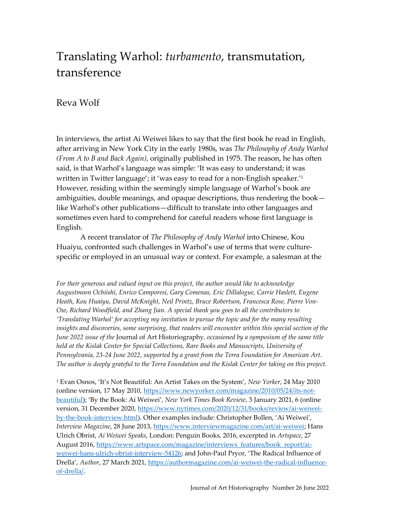# Translating Warhol: *turbamento*, transmutation, transference

## Reva Wolf

In interviews, the artist Ai Weiwei likes to say that the first book he read in English, after arriving in New York City in the early 1980s, was *The Philosophy of Andy Warhol (From A to B and Back Again)*, originally published in 1975. The reason, he has often said, is that Warhol's language was simple: 'It was easy to understand; it was written in Twitter language'; it 'was easy to read for a non-English speaker.'<sup>1</sup> However, residing within the seemingly simple language of Warhol's book are ambiguities, double meanings, and opaque descriptions, thus rendering the book like Warhol's other publications—difficult to translate into other languages and sometimes even hard to comprehend for careful readers whose first language is English.

A recent translator of *The Philosophy of Andy Warhol* into Chinese, Kou Huaiyu, confronted such challenges in Warhol's use of terms that were culturespecific or employed in an unusual way or context. For example, a salesman at the

*For their generous and valued input on this project, the author would like to acknowledge Augustmoon Ochiishi, Enrico Camporesi, Gary Comenas, Eric Dillalogue, Carrie Haslett, Eugene Heath, Kou Huaiyu, David McKnight, Neil Printz, Bruce Robertson, Francesca Rose, Pierre Von-Ow, Richard Woodfield, and Zhang Jian. A special thank you goes to all the contributors to 'Translating Warhol' for accepting my invitation to pursue the topic and for the many resulting insights and discoveries, some surprising, that readers will encounter within this special section of the June 2022 issue of the* Journal of Art Historiography*, occasioned by a symposium of the same title held at the Kislak Center for Special Collections, Rare Books and Manuscripts, University of Pennsylvania, 23-24 June 2022, supported by a grant from the Terra Foundation for American Art. The author is deeply grateful to the Terra Foundation and the Kislak Center for taking on this project.*

<sup>1</sup> Evan Osnos, 'It's Not Beautiful: An Artist Takes on the System', *New Yorker*, 24 May 2010 (online version, 17 May 2010, [https://www.newyorker.com/magazine/2010/05/24/its-not](https://www.newyorker.com/magazine/2010/05/24/its-not-beautiful)[beautiful\)](https://www.newyorker.com/magazine/2010/05/24/its-not-beautiful); 'By the Book: Ai Weiwei', *New York Times Book Review*, 3 January 2021, 6 (online version, 31 December 2020[, https://www.nytimes.com/2020/12/31/books/review/ai-weiwei](https://www.nytimes.com/2020/12/31/books/review/ai-weiwei-by-the-book-interview.html)[by-the-book-interview.html\)](https://www.nytimes.com/2020/12/31/books/review/ai-weiwei-by-the-book-interview.html). Other examples include: Christopher Bollen, 'Ai Weiwei', *Interview Magazine*, 28 June 2013, [https://www.interviewmagazine.com/art/ai-weiwei;](https://www.interviewmagazine.com/art/ai-weiwei) Hans Ulrich Obrist, *Ai Weiwei Speaks*, London: Penguin Books, 2016, excerpted in *Artspace*, 27 August 2016, [https://www.artspace.com/magazine/interviews\\_features/book\\_report/ai](https://www.artspace.com/magazine/interviews_features/book_report/ai-weiwei-hans-ulrich-obrist-interview-54126)[weiwei-hans-ulrich-obrist-interview-54126;](https://www.artspace.com/magazine/interviews_features/book_report/ai-weiwei-hans-ulrich-obrist-interview-54126) and John-Paul Pryor, 'The Radical Influence of Drella', *Author*, 27 March 2021, [https://authormagazine.com/ai-weiwei-the-radical-influence](https://authormagazine.com/ai-weiwei-the-radical-influence-of-drella/)[of-drella/.](https://authormagazine.com/ai-weiwei-the-radical-influence-of-drella/)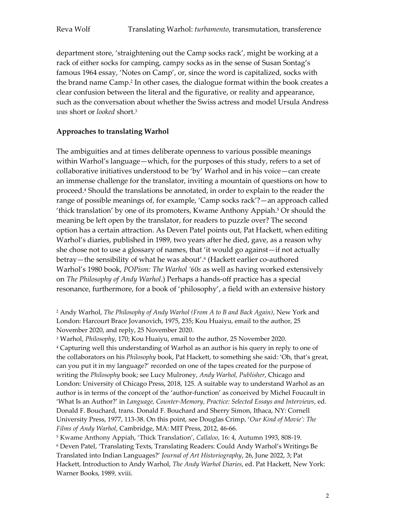department store, 'straightening out the Camp socks rack', might be working at a rack of either socks for camping, campy socks as in the sense of Susan Sontag's famous 1964 essay, 'Notes on Camp', or, since the word is capitalized, socks with the brand name Camp.<sup>2</sup> In other cases, the dialogue format within the book creates a clear confusion between the literal and the figurative, or reality and appearance, such as the conversation about whether the Swiss actress and model Ursula Andress *was* short or *looked* short. 3

### **Approaches to translating Warhol**

The ambiguities and at times deliberate openness to various possible meanings within Warhol's language—which, for the purposes of this study, refers to a set of collaborative initiatives understood to be 'by' Warhol and in his voice—can create an immense challenge for the translator, inviting a mountain of questions on how to proceed.<sup>4</sup> Should the translations be annotated, in order to explain to the reader the range of possible meanings of, for example, 'Camp socks rack'?—an approach called 'thick translation' by one of its promoters, Kwame Anthony Appiah. <sup>5</sup> Or should the meaning be left open by the translator, for readers to puzzle over? The second option has a certain attraction. As Deven Patel points out, Pat Hackett, when editing Warhol's diaries, published in 1989, two years after he died, gave, as a reason why she chose not to use a glossary of names, that 'it would go against—if not actually betray—the sensibility of what he was about'. 6 (Hackett earlier co-authored Warhol's 1980 book, *POPism: The Warhol '60s* as well as having worked extensively on *The Philosophy of Andy Warhol*.) Perhaps a hands-off practice has a special resonance, furthermore, for a book of 'philosophy', a field with an extensive history

<sup>2</sup> Andy Warhol, *The Philosophy of Andy Warhol (From A to B and Back Again)*, New York and London: Harcourt Brace Jovanovich, 1975, 235; Kou Huaiyu, email to the author, 25 November 2020, and reply, 25 November 2020.

<sup>3</sup> Warhol, *Philosophy*, 170; Kou Huaiyu, email to the author, 25 November 2020.

<sup>4</sup> Capturing well this understanding of Warhol as an author is his query in reply to one of the collaborators on his *Philosophy* book, Pat Hackett, to something she said: 'Oh, that's great, can you put it in my language?' recorded on one of the tapes created for the purpose of writing the *Philosophy* book; see Lucy Mulroney, *Andy Warhol, Publisher*, Chicago and London: University of Chicago Press, 2018, 125. A suitable way to understand Warhol as an author is in terms of the concept of the 'author-function' as conceived by Michel Foucault in 'What Is an Author?' in *Language, Counter-Memory, Practice: Selected Essays and Interviews*, ed. Donald F. Bouchard, trans. Donald F. Bouchard and Sherry Simon, Ithaca, NY: Cornell University Press, 1977, 113-38. On this point, see Douglas Crimp, '*Our Kind of Movie': The Films of Andy Warhol*, Cambridge, MA: MIT Press, 2012, 46-66.

<sup>5</sup> Kwame Anthony Appiah, 'Thick Translation', *Callaloo*, 16: 4, Autumn 1993, 808-19.

<sup>6</sup> Deven Patel, 'Translating Texts, Translating Readers: Could Andy Warhol's Writings Be Translated into Indian Languages?' *Journal of Art Historiography*, 26, June 2022, 3; Pat Hackett, Introduction to Andy Warhol, *The Andy Warhol Diaries*, ed. Pat Hackett, New York: Warner Books, 1989, xviii.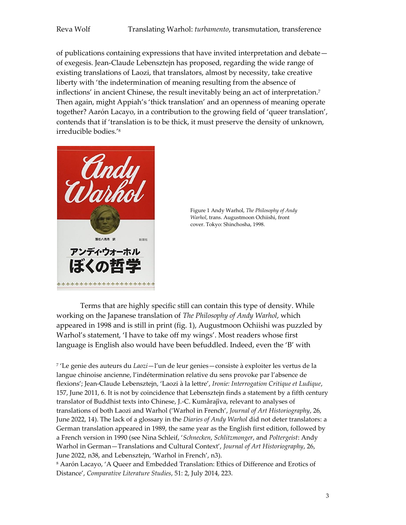of publications containing expressions that have invited interpretation and debate of exegesis. Jean-Claude Lebensztejn has proposed, regarding the wide range of existing translations of Laozi, that translators, almost by necessity, take creative liberty with 'the indetermination of meaning resulting from the absence of inflections' in ancient Chinese, the result inevitably being an act of interpretation.<sup>7</sup> Then again, might Appiah's 'thick translation' and an openness of meaning operate together? Aarón Lacayo, in a contribution to the growing field of 'queer translation', contends that if 'translation is to be thick, it must preserve the density of unknown, irreducible bodies.'<sup>8</sup>





Terms that are highly specific still can contain this type of density. While working on the Japanese translation of *The Philosophy of Andy Warhol*, which appeared in 1998 and is still in print (fig. 1), Augustmoon Ochiishi was puzzled by Warhol's statement, 'I have to take off my wings'. Most readers whose first language is English also would have been befuddled. Indeed, even the 'B' with

7 'Le genie des auteurs du *Laozi*—l'un de leur genies—consiste à exploiter les vertus de la langue chinoise ancienne, l'indétermination relative du sens provoke par l'absence de flexions'; Jean-Claude Lebensztejn, 'Laozi à la lettre', *Ironie: Interrogation Critique et Ludique*, 157, June 2011, 6. It is not by coincidence that Lebensztejn finds a statement by a fifth century translator of Buddhist texts into Chinese, J.-C. Kumârajîva, relevant to analyses of translations of both Laozi and Warhol ('Warhol in French', *Journal of Art Historiography*, 26, June 2022, 14). The lack of a glossary in the *Diaries of Andy Warhol* did not deter translators: a German translation appeared in 1989, the same year as the English first edition, followed by a French version in 1990 (see Nina Schleif, '*Schnecken*, *Schlitzmonger*, and *Poltergeist*: Andy Warhol in German—Translations and Cultural Context', *Journal of Art Historiography*, 26, June 2022, n38, and Lebensztejn, 'Warhol in French', n3).

<sup>8</sup> Aarón Lacayo, 'A Queer and Embedded Translation: Ethics of Difference and Erotics of Distance', *Comparative Literature Studies*, 51: 2, July 2014, 223.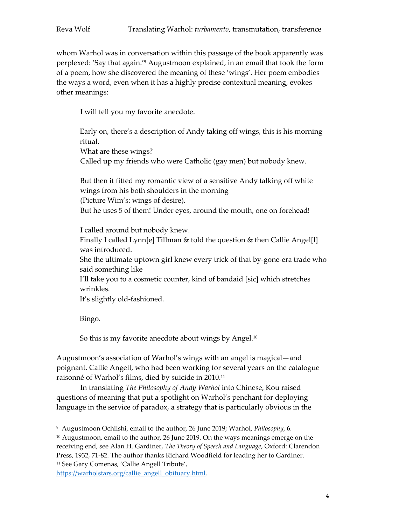whom Warhol was in conversation within this passage of the book apparently was perplexed: 'Say that again.'<sup>9</sup> Augustmoon explained, in an email that took the form of a poem, how she discovered the meaning of these 'wings'. Her poem embodies the ways a word, even when it has a highly precise contextual meaning, evokes other meanings:

I will tell you my favorite anecdote.

Early on, there's a description of Andy taking off wings, this is his morning ritual. What are these wings? Called up my friends who were Catholic (gay men) but nobody knew.

But then it fitted my romantic view of a sensitive Andy talking off white wings from his both shoulders in the morning (Picture Wim's: wings of desire).

But he uses 5 of them! Under eyes, around the mouth, one on forehead!

I called around but nobody knew.

Finally I called Lynn[e] Tillman & told the question & then Callie Angel[l] was introduced.

She the ultimate uptown girl knew every trick of that by-gone-era trade who said something like

I'll take you to a cosmetic counter, kind of bandaid [sic] which stretches wrinkles.

It's slightly old-fashioned.

Bingo.

So this is my favorite anecdote about wings by Angel.<sup>10</sup>

Augustmoon's association of Warhol's wings with an angel is magical—and poignant. Callie Angell, who had been working for several years on the catalogue raisonné of Warhol's films, died by suicide in 2010. 11

In translating *The Philosophy of Andy Warhol* into Chinese, Kou raised questions of meaning that put a spotlight on Warhol's penchant for deploying language in the service of paradox, a strategy that is particularly obvious in the

<sup>9</sup> Augustmoon Ochiishi, email to the author, 26 June 2019; Warhol, *Philosophy*, 6. <sup>10</sup> Augustmoon, email to the author, 26 June 2019. On the ways meanings emerge on the receiving end, see Alan H. Gardiner, *The Theory of Speech and Language*, Oxford: Clarendon Press, 1932, 71-82. The author thanks Richard Woodfield for leading her to Gardiner. <sup>11</sup> See Gary Comenas, 'Callie Angell Tribute',

[https://warholstars.org/callie\\_angell\\_obituary.html.](https://warholstars.org/callie_angell_obituary.html)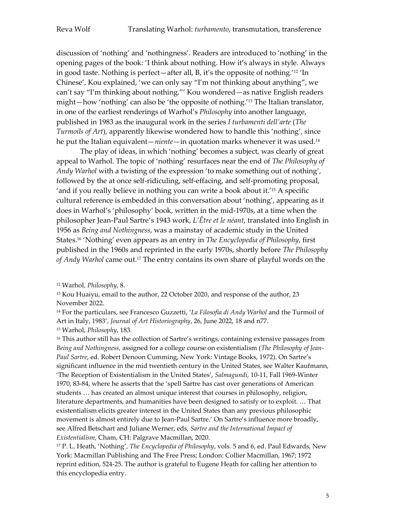discussion of 'nothing' and 'nothingness'. Readers are introduced to 'nothing' in the opening pages of the book: 'I think about nothing. How it's always in style. Always in good taste. Nothing is perfect—after all, B, it's the opposite of nothing.'<sup>12</sup> 'In Chinese', Kou explained, 'we can only say "I'm not thinking about anything", we can't say "I'm thinking about nothing."' Kou wondered—as native English readers might—how 'nothing' can also be 'the opposite of nothing.'<sup>13</sup> The Italian translator, in one of the earliest renderings of Warhol's *Philosophy* into another language, published in 1983 as the inaugural work in the series *I turbamenti dell'arte* (*The Turmoils of Art*), apparently likewise wondered how to handle this 'nothing', since he put the Italian equivalent—*niente*—in quotation marks whenever it was used.<sup>14</sup>

The play of ideas, in which 'nothing' becomes a subject, was clearly of great appeal to Warhol. The topic of 'nothing' resurfaces near the end of *The Philosophy of Andy Warhol* with a twisting of the expression 'to make something out of nothing', followed by the at once self-ridiculing, self-effacing, and self-promoting proposal, 'and if you really believe in nothing you can write a book about it.'<sup>15</sup> A specific cultural reference is embedded in this conversation about 'nothing', appearing as it does in Warhol's 'philosophy' book, written in the mid-1970s, at a time when the philosopher Jean-Paul Sartre's 1943 work, *L'Être et le néant*, translated into English in 1956 as *Being and Nothingness*, was a mainstay of academic study in the United States. <sup>16</sup> 'Nothing' even appears as an entry in *The Encyclopedia of Philosophy*, first published in the 1960s and reprinted in the early 1970s, shortly before *The Philosophy of Andy Warhol* came out. <sup>17</sup> The entry contains its own share of playful words on the

<sup>13</sup> Kou Huaiyu, email to the author, 22 October 2020, and response of the author, 23 November 2022.

<sup>16</sup> This author still has the collection of Sartre's writings, containing extensive passages from *Being and Nothingness*, assigned for a college course on existentialism (*The Philosophy of Jean-Paul Sartre*, ed. Robert Denoon Cumming, New York: Vintage Books, 1972). On Sartre's significant influence in the mid twentieth century in the United States, see Walter Kaufmann, 'The Reception of Existentialism in the United States', *Salmagundi*, 10-11, Fall 1969-Winter 1970, 83-84, where he asserts that the 'spell Sartre has cast over generations of American students … has created an almost unique interest that courses in philosophy, religion, literature departments, and humanities have been designed to satisfy or to exploit. … That existentialism elicits greater interest in the United States than any previous philosophic movement is almost entirely due to Jean-Paul Sartre.' On Sartre's influence more broadly, see Alfred Betschart and Juliane Werner, eds, *Sartre and the International Impact of Existentialism*, Cham, CH: Palgrave Macmillan, 2020.

<sup>17</sup> P. L. Heath, 'Nothing', *The Encyclopedia of Philosophy*, vols. 5 and 6, ed. Paul Edwards, New York: Macmillan Publishing and The Free Press; London: Collier Macmillan, 1967; 1972 reprint edition, 524-25. The author is grateful to Eugene Heath for calling her attention to this encyclopedia entry.

<sup>12</sup> Warhol, *Philosophy*, 8.

<sup>14</sup> For the particulars, see Francesco Guzzetti, '*La Filosofia di Andy Warhol* and the Turmoil of Art in Italy, 1983', *Journal of Art Historiography*, 26, June 2022, 18 and n77. <sup>15</sup> Warhol, *Philosophy*, 183.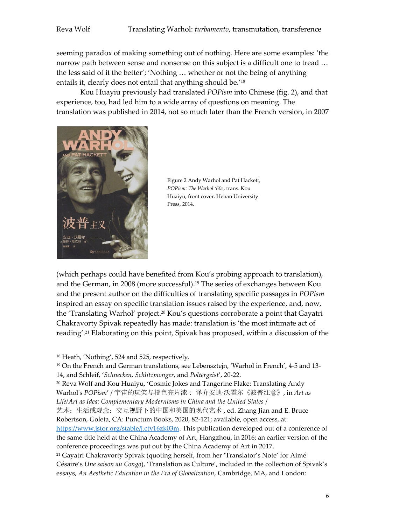seeming paradox of making something out of nothing. Here are some examples: 'the narrow path between sense and nonsense on this subject is a difficult one to tread … the less said of it the better'; 'Nothing … whether or not the being of anything entails it, clearly does not entail that anything should be.'<sup>18</sup>

Kou Huayiu previously had translated *POPism* into Chinese (fig. 2), and that experience, too, had led him to a wide array of questions on meaning. The translation was published in 2014, not so much later than the French version, in 2007



Figure 2 Andy Warhol and Pat Hackett, *POPism: The Warhol '60s*, trans. Kou Huaiyu, front cover. Henan University Press, 2014.

(which perhaps could have benefited from Kou's probing approach to translation), and the German, in 2008 (more successful). <sup>19</sup> The series of exchanges between Kou and the present author on the difficulties of translating specific passages in *POPism* inspired an essay on specific translation issues raised by the experience, and, now, the 'Translating Warhol' project. <sup>20</sup> Kou's questions corroborate a point that Gayatri Chakravorty Spivak repeatedly has made: translation is 'the most intimate act of reading'. <sup>21</sup> Elaborating on this point, Spivak has proposed, within a discussion of the

<sup>18</sup> Heath, 'Nothing', 524 and 525, respectively.

<sup>19</sup> On the French and German translations, see Lebensztejn, 'Warhol in French', 4-5 and 13- 14, and Schleif, '*Schnecken*, *Schlitzmonger*, and *Poltergeist*', 20-22. <sup>20</sup> Reva Wolf and Kou Huaiyu, 'Cosmic Jokes and Tangerine Flake: Translating Andy Warhol's *POPism*' / 宇宙的玩笑与橙色亮片漆: 译介安迪·沃霍尔《波普注意》, in *Art as Life/Art as Idea: Complementary Modernisms in China and the United States* / 艺术:生活或观念:交互视野下的中国和美国的现代艺术 , ed. Zhang Jian and E. Bruce Robertson, Goleta, CA: Punctum Books, 2020, 82-121; available, open access, at: [https://www.jstor.org/stable/j.ctv16zk03m.](https://www.jstor.org/stable/j.ctv16zk03m) This publication developed out of a conference of the same title held at the China Academy of Art, Hangzhou, in 2016; an earlier version of the conference proceedings was put out by the China Academy of Art in 2017. <sup>21</sup> Gayatri Chakravorty Spivak (quoting herself, from her 'Translator's Note' for Aimé Césaire's *Une saison au Congo*), 'Translation as Culture', included in the collection of Spivak's essays, *An Aesthetic Education in the Era of Globalization*, Cambridge, MA, and London: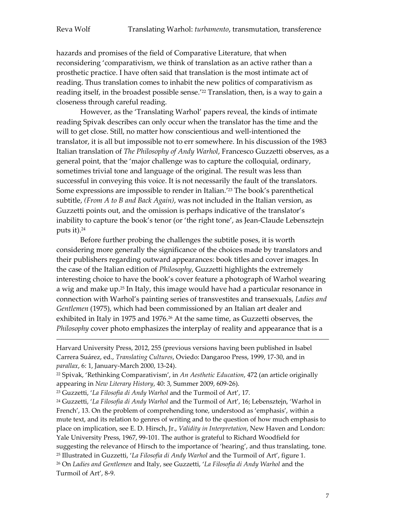hazards and promises of the field of Comparative Literature, that when reconsidering 'comparativism, we think of translation as an active rather than a prosthetic practice. I have often said that translation is the most intimate act of reading. Thus translation comes to inhabit the new politics of comparativism as reading itself, in the broadest possible sense.' <sup>22</sup> Translation, then, is a way to gain a closeness through careful reading.

However, as the 'Translating Warhol' papers reveal, the kinds of intimate reading Spivak describes can only occur when the translator has the time and the will to get close. Still, no matter how conscientious and well-intentioned the translator, it is all but impossible not to err somewhere. In his discussion of the 1983 Italian translation of *The Philosophy of Andy Warhol*, Francesco Guzzetti observes, as a general point, that the 'major challenge was to capture the colloquial, ordinary, sometimes trivial tone and language of the original. The result was less than successful in conveying this voice. It is not necessarily the fault of the translators. Some expressions are impossible to render in Italian.' <sup>23</sup> The book's parenthetical subtitle, *(From A to B and Back Again)*, was not included in the Italian version, as Guzzetti points out, and the omission is perhaps indicative of the translator's inability to capture the book's tenor (or 'the right tone', as Jean-Claude Lebensztejn puts it).<sup>24</sup>

Before further probing the challenges the subtitle poses, it is worth considering more generally the significance of the choices made by translators and their publishers regarding outward appearances: book titles and cover images. In the case of the Italian edition of *Philosophy*, Guzzetti highlights the extremely interesting choice to have the book's cover feature a photograph of Warhol wearing a wig and make up. <sup>25</sup> In Italy, this image would have had a particular resonance in connection with Warhol's painting series of transvestites and transexuals, *Ladies and Gentlemen* (1975), which had been commissioned by an Italian art dealer and exhibited in Italy in 1975 and 1976. <sup>26</sup> At the same time, as Guzzetti observes, the *Philosophy* cover photo emphasizes the interplay of reality and appearance that is a

Turmoil of Art', 8-9.

<u>.</u>

Harvard University Press, 2012, 255 (previous versions having been published in Isabel Carrera Suárez, ed., *Translating Cultures*, Oviedo: Dangaroo Press, 1999, 17-30, and in *parallax*, 6: 1, January-March 2000, 13-24).

<sup>22</sup> Spivak, 'Rethinking Comparativism', in *An Aesthetic Education*, 472 (an article originally appearing in *New Literary History*, 40: 3, Summer 2009, 609-26).

<sup>23</sup> Guzzetti, '*La Filosofia di Andy Warhol* and the Turmoil of Art', 17.

<sup>24</sup> Guzzetti, '*La Filosofia di Andy Warhol* and the Turmoil of Art', 16; Lebensztejn, 'Warhol in French', 13. On the problem of comprehending tone, understood as 'emphasis', within a mute text, and its relation to genres of writing and to the question of how much emphasis to place on implication, see E. D. Hirsch, Jr., *Validity in Interpretation*, New Haven and London: Yale University Press, 1967, 99-101. The author is grateful to Richard Woodfield for suggesting the relevance of Hirsch to the importance of 'hearing', and thus translating, tone. <sup>25</sup> Illustrated in Guzzetti, '*La Filosofia di Andy Warhol* and the Turmoil of Art', figure 1. <sup>26</sup> On *Ladies and Gentlemen* and Italy, see Guzzetti, '*La Filosofia di Andy Warhol* and the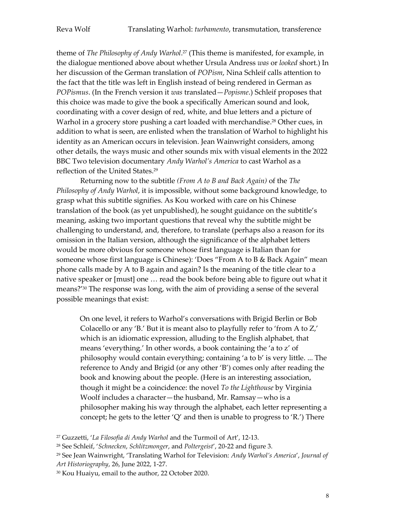theme of *The Philosophy of Andy Warhol*. <sup>27</sup> (This theme is manifested, for example, in the dialogue mentioned above about whether Ursula Andress *was* or *looked* short.) In her discussion of the German translation of *POPism*, Nina Schleif calls attention to the fact that the title was left in English instead of being rendered in German as *POPismus*. (In the French version it *was* translated—*Popisme*.) Schleif proposes that this choice was made to give the book a specifically American sound and look, coordinating with a cover design of red, white, and blue letters and a picture of Warhol in a grocery store pushing a cart loaded with merchandise. <sup>28</sup> Other cues, in addition to what is seen, are enlisted when the translation of Warhol to highlight his identity as an American occurs in television. Jean Wainwright considers, among other details, the ways music and other sounds mix with visual elements in the 2022 BBC Two television documentary *Andy Warhol's America* to cast Warhol as a reflection of the United States. 29

Returning now to the subtitle *(From A to B and Back Again)* of the *The Philosophy of Andy Warhol*, it is impossible, without some background knowledge, to grasp what this subtitle signifies. As Kou worked with care on his Chinese translation of the book (as yet unpublished), he sought guidance on the subtitle's meaning, asking two important questions that reveal why the subtitle might be challenging to understand, and, therefore, to translate (perhaps also a reason for its omission in the Italian version, although the significance of the alphabet letters would be more obvious for someone whose first language is Italian than for someone whose first language is Chinese): 'Does "From A to B & Back Again" mean phone calls made by A to B again and again? Is the meaning of the title clear to a native speaker or [must] one … read the book before being able to figure out what it means?' <sup>30</sup> The response was long, with the aim of providing a sense of the several possible meanings that exist:

On one level, it refers to Warhol's conversations with Brigid Berlin or Bob Colacello or any 'B.' But it is meant also to playfully refer to 'from A to Z,' which is an idiomatic expression, alluding to the English alphabet, that means 'everything.' In other words, a book containing the 'a to z' of philosophy would contain everything; containing 'a to b' is very little. ... The reference to Andy and Brigid (or any other 'B') comes only after reading the book and knowing about the people. (Here is an interesting association, though it might be a coincidence: the novel *To the Lighthouse* by Virginia Woolf includes a character—the husband, Mr. Ramsay—who is a philosopher making his way through the alphabet, each letter representing a concept; he gets to the letter 'Q' and then is unable to progress to 'R.') There

<sup>27</sup> Guzzetti, '*La Filosofia di Andy Warhol* and the Turmoil of Art', 12-13.

<sup>28</sup> See Schleif, '*Schnecken*, *Schlitzmonger*, and *Poltergeist*', 20-22 and figure 3.

<sup>29</sup> See Jean Wainwright, 'Translating Warhol for Television: *Andy Warhol's America*', *Journal of Art Historiography*, 26, June 2022, 1-27.

<sup>30</sup> Kou Huaiyu, email to the author, 22 October 2020.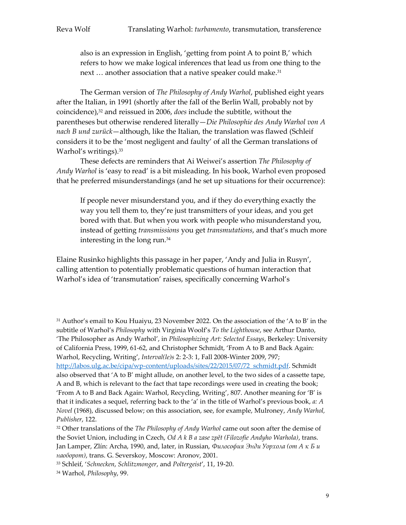also is an expression in English, 'getting from point A to point B,' which refers to how we make logical inferences that lead us from one thing to the next ... another association that a native speaker could make.<sup>31</sup>

The German version of *The Philosophy of Andy Warhol*, published eight years after the Italian, in 1991 (shortly after the fall of the Berlin Wall, probably not by coincidence), <sup>32</sup> and reissued in 2006, *does* include the subtitle, without the parentheses but otherwise rendered literally—*Die Philosophie des Andy Warhol von A nach B und zurück*—although, like the Italian, the translation was flawed (Schleif considers it to be the 'most negligent and faulty' of all the German translations of Warhol's writings). 33

These defects are reminders that Ai Weiwei's assertion *The Philosophy of Andy Warhol* is 'easy to read' is a bit misleading. In his book, Warhol even proposed that he preferred misunderstandings (and he set up situations for their occurrence):

If people never misunderstand you, and if they do everything exactly the way you tell them to, they're just transmitters of your ideas, and you get bored with that. But when you work with people who misunderstand you, instead of getting *transmissions* you get *transmutations*, and that's much more interesting in the long run.<sup>34</sup>

Elaine Rusinko highlights this passage in her paper, 'Andy and Julia in Rusyn', calling attention to potentially problematic questions of human interaction that Warhol's idea of 'transmutation' raises, specifically concerning Warhol's

<sup>31</sup> Author's email to Kou Huaiyu, 23 November 2022. On the association of the 'A to B' in the subtitle of Warhol's *Philosophy* with Virginia Woolf's *To the Lighthouse*, see Arthur Danto, 'The Philosopher as Andy Warhol', in *Philosophizing Art: Selected Essays*, Berkeley: University of California Press, 1999, 61-62, and Christopher Schmidt, 'From A to B and Back Again: Warhol, Recycling, Writing', *Interval(le)s* 2: 2-3: 1, Fall 2008-Winter 2009, 797;

[http://labos.ulg.ac.be/cipa/wp-content/uploads/sites/22/2015/07/72\\_schmidt.pdf.](http://labos.ulg.ac.be/cipa/wp-content/uploads/sites/22/2015/07/72_schmidt.pdf) Schmidt also observed that 'A to B' might allude, on another level, to the two sides of a cassette tape, A and B, which is relevant to the fact that tape recordings were used in creating the book; 'From A to B and Back Again: Warhol, Recycling, Writing', 807. Another meaning for 'B' is that it indicates a sequel, referring back to the 'a' in the title of Warhol's previous book, *a: A Novel* (1968), discussed below; on this association, see, for example, Mulroney, *Andy Warhol, Publisher*, 122.

<sup>32</sup> Other translations of the *The Philosophy of Andy Warhol* came out soon after the demise of the Soviet Union, including in Czech, *Od A k B a zase zpět (Filozofie Andyho Warhola)*, trans. Jan Lamper, Zlín: Archa, 1990, and, later, in Russian, Философия Энди Уорхола (от А к Б и *наоборот)*, trans. G. Severskoy, Moscow: Aronov, 2001.

<sup>33</sup> Schleif, '*Schnecken*, *Schlitzmonger*, and *Poltergeist*', 11, 19-20.

<sup>34</sup> Warhol, *Philosophy*, 99.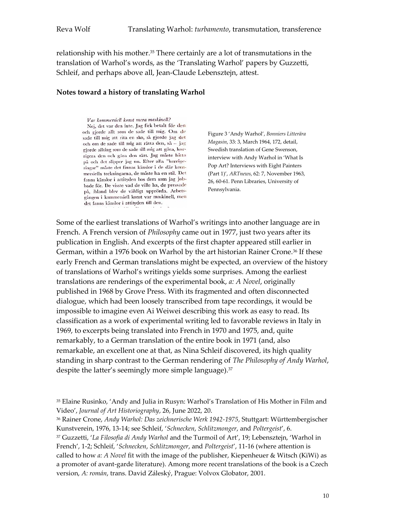relationship with his mother. <sup>35</sup> There certainly are a lot of transmutations in the translation of Warhol's words, as the 'Translating Warhol' papers by Guzzetti, Schleif, and perhaps above all, Jean-Claude Lebensztejn, attest.

#### **Notes toward a history of translating Warhol**

Var kommersiell konst mera maskinell? Nej, det var den inte. Jag fick betalt för den och gjorde allt som de sade till mig. Om de sade till mig att rita en sko, så gjorde jag det och om de sade till mig att rätta den, så - jag gjorde allting som de sade till mig att göra, korrigera den och göra den rätt. Jag måste hitta på och det slipper jag nu. Efter alla "korrigeringar" måste det finnas känslor i de där kommersiella teckningarna, de måste ha en stil. Det fanns känslor i attityden hos dem som jag jobbade för. De visste vad de ville ha, de pressade på, ibland blev de väldigt upprörda. Arbetsgången i kommersiell konst var maskinell, men det fanns känslor i attityden till den.

Figure 3 'Andy Warhol', *Bonniers Litterära Magasin*, 33: 3, March 1964, 172, detail, Swedish translation of Gene Swenson, interview with Andy Warhol in 'What Is Pop Art? Interviews with Eight Painters (Part 1)', *ARTnews*, 62: 7, November 1963, 26, 60-61. Penn Libraries, University of Pennsylvania.

Some of the earliest translations of Warhol's writings into another language are in French. A French version of *Philosophy* came out in 1977, just two years after its publication in English. And excerpts of the first chapter appeared still earlier in German, within a 1976 book on Warhol by the art historian Rainer Crone.<sup>36</sup> If these early French and German translations might be expected, an overview of the history of translations of Warhol's writings yields some surprises. Among the earliest translations are renderings of the experimental book, *a: A Novel*, originally published in 1968 by Grove Press. With its fragmented and often disconnected dialogue, which had been loosely transcribed from tape recordings, it would be impossible to imagine even Ai Weiwei describing this work as easy to read. Its classification as a work of experimental writing led to favorable reviews in Italy in 1969, to excerpts being translated into French in 1970 and 1975, and, quite remarkably, to a German translation of the entire book in 1971 (and, also remarkable, an excellent one at that, as Nina Schleif discovered, its high quality standing in sharp contrast to the German rendering of *The Philosophy of Andy Warhol*, despite the latter's seemingly more simple language).<sup>37</sup>

<sup>37</sup> Guzzetti, '*La Filosofia di Andy Warhol* and the Turmoil of Art', 19; Lebensztejn, 'Warhol in French', 1-2; Schleif, '*Schnecken*, *Schlitzmonger*, and *Poltergeist*', 11-16 (where attention is called to how *a: A Novel* fit with the image of the publisher, Kiepenheuer & Witsch (KiWi) as a promoter of avant-garde literature). Among more recent translations of the book is a Czech version, *A: román*, trans. David Záleský, Prague: Volvox Globator, 2001.

<sup>35</sup> Elaine Rusinko, 'Andy and Julia in Rusyn: Warhol's Translation of His Mother in Film and Video', *Journal of Art Historiography*, 26, June 2022, 20.

<sup>36</sup> Rainer Crone, *Andy Warhol: Das zeichnerische Werk 1942-1975*, Stuttgart: Württembergischer Kunstverein, 1976, 13-14; see Schleif, '*Schnecken*, *Schlitzmonger*, and *Poltergeist*', 6.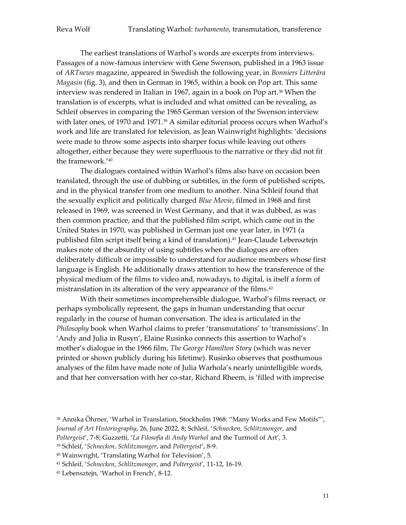The earliest translations of Warhol's words are excerpts from interviews. Passages of a now-famous interview with Gene Swenson, published in a 1963 issue of *ARTnews* magazine, appeared in Swedish the following year, in *Bonniers Litterära Magasin* (fig. 3), and then in German in 1965, within a book on Pop art. This same interview was rendered in Italian in 1967, again in a book on Pop art.<sup>38</sup> When the translation is of excerpts, what is included and what omitted can be revealing, as Schleif observes in comparing the 1965 German version of the Swenson interview with later ones, of 1970 and 1971.<sup>39</sup> A similar editorial process occurs when Warhol's work and life are translated for television, as Jean Wainwright highlights: 'decisions were made to throw some aspects into sharper focus while leaving out others altogether, either because they were superfluous to the narrative or they did not fit the framework.'<sup>40</sup>

The dialogues contained within Warhol's films also have on occasion been translated, through the use of dubbing or subtitles, in the form of published scripts, and in the physical transfer from one medium to another. Nina Schleif found that the sexually explicit and politically charged *Blue Movie*, filmed in 1968 and first released in 1969, was screened in West Germany, and that it was dubbed, as was then common practice, and that the published film script, which came out in the United States in 1970, was published in German just one year later, in 1971 (a published film script itself being a kind of translation). <sup>41</sup> Jean-Claude Lebensztejn makes note of the absurdity of using subtitles when the dialogues are often deliberately difficult or impossible to understand for audience members whose first language is English. He additionally draws attention to how the transference of the physical medium of the films to video and, nowadays, to digital, is itself a form of mistranslation in its alteration of the very appearance of the films. 42

With their sometimes incomprehensible dialogue, Warhol's films reenact, or perhaps symbolically represent, the gaps in human understanding that occur regularly in the course of human conversation. The idea is articulated in the *Philosophy* book when Warhol claims to prefer 'transmutations' to 'transmissions'. In 'Andy and Julia in Rusyn', Elaine Rusinko connects this assertion to Warhol's mother's dialogue in the 1966 film, *The George Hamilton Story* (which was never printed or shown publicly during his lifetime). Rusinko observes that posthumous analyses of the film have made note of Julia Warhola's nearly unintelligible words, and that her conversation with her co-star, Richard Rheem, is 'filled with imprecise

<sup>38</sup> Annika Öhrner, 'Warhol in Translation, Stockholm 1968: "Many Works and Few Motifs"',

*Journal of Art Historiography*, 26, June 2022, 8; Schleif, '*Schnecken*, *Schlitzmonger*, and

*Poltergeist*', 7-8; Guzzetti, '*La Filosofia di Andy Warhol* and the Turmoil of Art', 3.

<sup>39</sup> Schleif, '*Schnecken*, *Schlitzmonger*, and *Poltergeist*', 8-9.

<sup>40</sup> Wainwright, 'Translating Warhol for Television', 5.

<sup>41</sup> Schleif, '*Schnecken*, *Schlitzmonger*, and *Poltergeist*', 11-12, 16-19.

<sup>42</sup> Lebensztejn, 'Warhol in French', 8-12.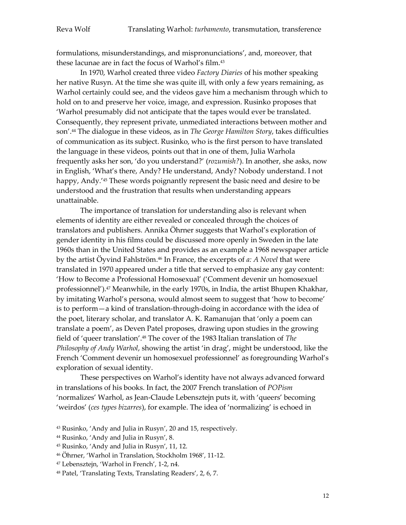formulations, misunderstandings, and mispronunciations', and, moreover, that these lacunae are in fact the focus of Warhol's film. 43

In 1970, Warhol created three video *Factory Diaries* of his mother speaking her native Rusyn. At the time she was quite ill, with only a few years remaining, as Warhol certainly could see, and the videos gave him a mechanism through which to hold on to and preserve her voice, image, and expression. Rusinko proposes that 'Warhol presumably did not anticipate that the tapes would ever be translated. Consequently, they represent private, unmediated interactions between mother and son'. <sup>44</sup> The dialogue in these videos, as in *The George Hamilton Story*, takes difficulties of communication as its subject. Rusinko, who is the first person to have translated the language in these videos, points out that in one of them, Julia Warhola frequently asks her son, 'do you understand?' (*rozumish?*). In another, she asks, now in English, 'What's there, Andy? He understand, Andy? Nobody understand. I not happy, Andy.'<sup>45</sup> These words poignantly represent the basic need and desire to be understood and the frustration that results when understanding appears unattainable.

The importance of translation for understanding also is relevant when elements of identity are either revealed or concealed through the choices of translators and publishers. Annika Öhrner suggests that Warhol's exploration of gender identity in his films could be discussed more openly in Sweden in the late 1960s than in the United States and provides as an example a 1968 newspaper article by the artist Öyvind Fahlström. <sup>46</sup> In France, the excerpts of *a: A Novel* that were translated in 1970 appeared under a title that served to emphasize any gay content: 'How to Become a Professional Homosexual' ('Comment devenir un homosexuel professionnel'). <sup>47</sup> Meanwhile, in the early 1970s, in India, the artist Bhupen Khakhar, by imitating Warhol's persona, would almost seem to suggest that 'how to become' is to perform—a kind of translation-through-doing in accordance with the idea of the poet, literary scholar, and translator A. K. Ramanujan that 'only a poem can translate a poem', as Deven Patel proposes, drawing upon studies in the growing field of 'queer translation'. <sup>48</sup> The cover of the 1983 Italian translation of *The Philosophy of Andy Warhol*, showing the artist 'in drag', might be understood, like the French 'Comment devenir un homosexuel professionnel' as foregrounding Warhol's exploration of sexual identity.

These perspectives on Warhol's identity have not always advanced forward in translations of his books. In fact, the 2007 French translation of *POPism* 'normalizes' Warhol, as Jean-Claude Lebensztejn puts it, with 'queers' becoming 'weirdos' (*ces types bizarres*), for example. The idea of 'normalizing' is echoed in

- <sup>43</sup> Rusinko, 'Andy and Julia in Rusyn', 20 and 15, respectively.
- <sup>44</sup> Rusinko, 'Andy and Julia in Rusyn', 8.
- <sup>45</sup> Rusinko, 'Andy and Julia in Rusyn', 11, 12.
- <sup>46</sup> Öhrner, 'Warhol in Translation, Stockholm 1968', 11-12.
- <sup>47</sup> Lebensztejn, 'Warhol in French', 1-2, n4.
- <sup>48</sup> Patel, 'Translating Texts, Translating Readers', 2, 6, 7.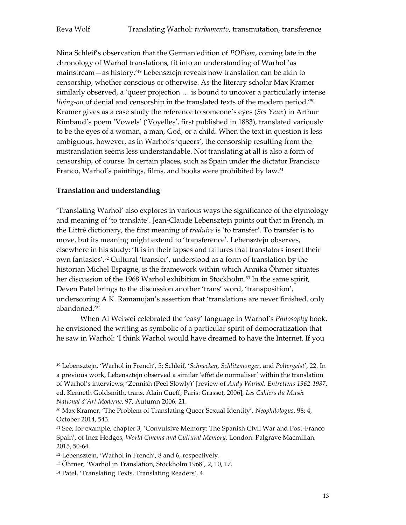Nina Schleif's observation that the German edition of *POPism*, coming late in the chronology of Warhol translations, fit into an understanding of Warhol 'as mainstream—as history.'<sup>49</sup> Lebensztejn reveals how translation can be akin to censorship, whether conscious or otherwise. As the literary scholar Max Kramer similarly observed, a 'queer projection … is bound to uncover a particularly intense *living-on* of denial and censorship in the translated texts of the modern period.<sup>'50</sup> Kramer gives as a case study the reference to someone's eyes (*Ses Yeux*) in Arthur Rimbaud's poem 'Vowels' ('Voyelles', first published in 1883), translated variously to be the eyes of a woman, a man, God, or a child. When the text in question is less ambiguous, however, as in Warhol's 'queers', the censorship resulting from the mistranslation seems less understandable. Not translating at all is also a form of censorship, of course. In certain places, such as Spain under the dictator Francisco Franco, Warhol's paintings, films, and books were prohibited by law. 51

### **Translation and understanding**

'Translating Warhol' also explores in various ways the significance of the etymology and meaning of 'to translate'. Jean-Claude Lebensztejn points out that in French, in the Littré dictionary, the first meaning of *traduire* is 'to transfer'. To transfer is to move, but its meaning might extend to 'transference'. Lebensztejn observes, elsewhere in his study: 'It is in their lapses and failures that translators insert their own fantasies'. <sup>52</sup> Cultural 'transfer', understood as a form of translation by the historian Michel Espagne, is the framework within which Annika Öhrner situates her discussion of the 1968 Warhol exhibition in Stockholm.<sup>53</sup> In the same spirit, Deven Patel brings to the discussion another 'trans' word, 'transposition', underscoring A.K. Ramanujan's assertion that 'translations are never finished, only abandoned.'<sup>54</sup>

When Ai Weiwei celebrated the 'easy' language in Warhol's *Philosophy* book, he envisioned the writing as symbolic of a particular spirit of democratization that he saw in Warhol: 'I think Warhol would have dreamed to have the Internet. If you

<sup>49</sup> Lebensztejn, 'Warhol in French', 5; Schleif, '*Schnecken*, *Schlitzmonger*, and *Poltergeist*', 22. In a previous work, Lebensztejn observed a similar 'effet de normaliser' within the translation of Warhol's interviews; 'Zennish (Peel Slowly)' [review of *Andy Warhol. Entretiens 1962-1987*, ed. Kenneth Goldsmith, trans. Alain Cueff, Paris: Grasset, 2006], *Les Cahiers du Musée National d'Art Moderne*, 97, Autumn 2006, 21.

<sup>50</sup> Max Kramer, 'The Problem of Translating Queer Sexual Identity', *Neophilologus*, 98: 4, October 2014, 543.

<sup>51</sup> See, for example, chapter 3, 'Convulsive Memory: The Spanish Civil War and Post-Franco Spain', of Inez Hedges, *World Cinema and Cultural Memory*, London: Palgrave Macmillan, 2015, 50-64.

<sup>52</sup> Lebensztejn, 'Warhol in French', 8 and 6, respectively.

<sup>53</sup> Öhrner, 'Warhol in Translation, Stockholm 1968', 2, 10, 17.

<sup>54</sup> Patel, 'Translating Texts, Translating Readers', 4.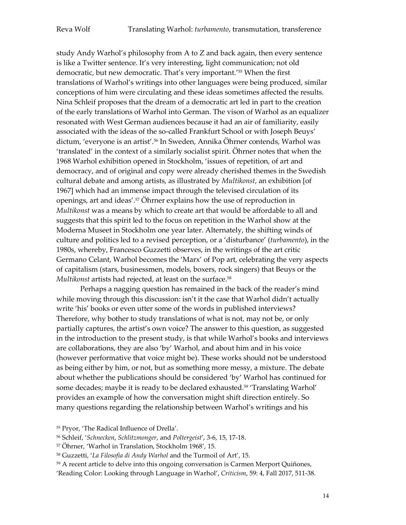study Andy Warhol's philosophy from A to Z and back again, then every sentence is like a Twitter sentence. It's very interesting, light communication; not old democratic, but new democratic. That's very important.'<sup>55</sup> When the first translations of Warhol's writings into other languages were being produced, similar conceptions of him were circulating and these ideas sometimes affected the results. Nina Schleif proposes that the dream of a democratic art led in part to the creation of the early translations of Warhol into German. The vison of Warhol as an equalizer resonated with West German audiences because it had an air of familiarity, easily associated with the ideas of the so-called Frankfurt School or with Joseph Beuys' dictum, 'everyone is an artist'.<sup>56</sup> In Sweden, Annika Öhrner contends, Warhol was 'translated' in the context of a similarly socialist spirit. Öhrner notes that when the 1968 Warhol exhibition opened in Stockholm, 'issues of repetition, of art and democracy, and of original and copy were already cherished themes in the Swedish cultural debate and among artists, as illustrated by *Multikonst*, an exhibition [of 1967] which had an immense impact through the televised circulation of its openings, art and ideas'.<sup>57</sup> Öhrner explains how the use of reproduction in *Multikonst* was a means by which to create art that would be affordable to all and suggests that this spirit led to the focus on repetition in the Warhol show at the Moderna Museet in Stockholm one year later. Alternately, the shifting winds of culture and politics led to a revised perception, or a 'disturbance' (*turbamento*), in the 1980s, whereby, Francesco Guzzetti observes, in the writings of the art critic Germano Celant, Warhol becomes the 'Marx' of Pop art, celebrating the very aspects of capitalism (stars, businessmen, models, boxers, rock singers) that Beuys or the *Multikonst* artists had rejected, at least on the surface.<sup>58</sup>

Perhaps a nagging question has remained in the back of the reader's mind while moving through this discussion: isn't it the case that Warhol didn't actually write 'his' books or even utter some of the words in published interviews? Therefore, why bother to study translations of what is not, may not be, or only partially captures, the artist's own voice? The answer to this question, as suggested in the introduction to the present study, is that while Warhol's books and interviews are collaborations, they are also 'by' Warhol, and about him and in his voice (however performative that voice might be). These works should not be understood as being either by him, or not, but as something more messy, a mixture. The debate about whether the publications should be considered 'by' Warhol has continued for some decades; maybe it is ready to be declared exhausted. <sup>59</sup> 'Translating Warhol' provides an example of how the conversation might shift direction entirely. So many questions regarding the relationship between Warhol's writings and his

<sup>55</sup> Pryor, 'The Radical Influence of Drella'.

<sup>56</sup> Schleif, '*Schnecken*, *Schlitzmonger*, and *Poltergeist*', 3-6, 15, 17-18.

<sup>57</sup> Öhrner, 'Warhol in Translation, Stockholm 1968', 15.

<sup>58</sup> Guzzetti, '*La Filosofia di Andy Warhol* and the Turmoil of Art', 15.

<sup>59</sup> A recent article to delve into this ongoing conversation is Carmen Merport Quiñones,

'Reading Color: Looking through Language in Warhol', *Criticism*, 59: 4, Fall 2017, 511-38.